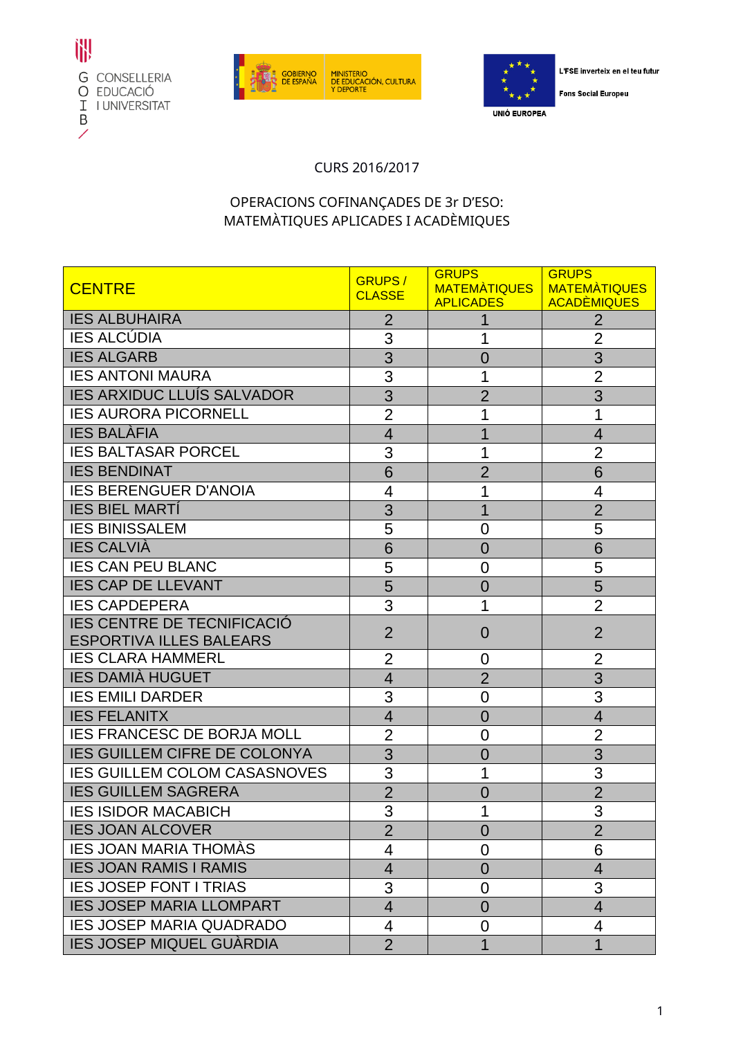





L'FSE inverteix en el teu futur

**Fons Social Europeu** 

## CURS 2016/2017

## OPERACIONS COFINANÇADES DE 3r D'ESO: MATEMÀTIQUES APLICADES I ACADÈMIQUES

| <b>CENTRE</b>                       | <b>GRUPS/</b><br><b>CLASSE</b> | <b>GRUPS</b><br>MATEMATIQUES | <b>GRUPS</b><br><b>MATEMATIQUES</b>  |
|-------------------------------------|--------------------------------|------------------------------|--------------------------------------|
| <b>IES ALBUHAIRA</b>                | $\overline{2}$                 | <b>APLICADES</b>             | <b>ACADÈMIQUES</b><br>$\overline{2}$ |
| <b>IES ALCÚDIA</b>                  | 3                              | 1                            | $\overline{2}$                       |
| <b>IES ALGARB</b>                   | 3                              | $\overline{0}$               | 3                                    |
| <b>IES ANTONI MAURA</b>             | 3                              | 1                            | $\overline{2}$                       |
| <b>IES ARXIDUC LLUÍS SALVADOR</b>   | 3                              | $\overline{2}$               | 3                                    |
| <b>IES AURORA PICORNELL</b>         | $\overline{2}$                 | 1                            | 1                                    |
| <b>IES BALÀFIA</b>                  | $\overline{4}$                 |                              | $\overline{4}$                       |
| <b>IES BALTASAR PORCEL</b>          | 3                              |                              | $\overline{2}$                       |
| <b>IES BENDINAT</b>                 | 6                              | $\overline{2}$               | 6                                    |
| <b>IES BERENGUER D'ANOIA</b>        | 4                              |                              | 4                                    |
| <b>IES BIEL MARTI</b>               | 3                              | 1                            | $\overline{2}$                       |
| <b>IES BINISSALEM</b>               | 5                              | 0                            | 5                                    |
| <b>IES CALVIÀ</b>                   | 6                              | $\overline{0}$               | 6                                    |
| <b>IES CAN PEU BLANC</b>            | 5                              | 0                            | 5                                    |
| <b>IES CAP DE LLEVANT</b>           | 5                              | $\overline{0}$               | 5                                    |
| <b>IES CAPDEPERA</b>                | 3                              |                              | $\overline{2}$                       |
| <b>IES CENTRE DE TECNIFICACIÓ</b>   |                                |                              |                                      |
| <b>ESPORTIVA ILLES BALEARS</b>      | $\overline{2}$                 | $\overline{0}$               | $\overline{2}$                       |
| <b>IES CLARA HAMMERL</b>            | 2                              | 0                            | $\overline{2}$                       |
| <b>IES DAMIÀ HUGUET</b>             | $\overline{4}$                 | $\overline{2}$               | 3                                    |
| <b>IES EMILI DARDER</b>             | 3                              | 0                            | 3                                    |
| <b>IES FELANITX</b>                 | $\overline{4}$                 | $\overline{0}$               | $\overline{4}$                       |
| <b>IES FRANCESC DE BORJA MOLL</b>   | $\overline{2}$                 | 0                            | $\overline{2}$                       |
| <b>IES GUILLEM CIFRE DE COLONYA</b> | 3                              | 0                            | 3                                    |
| <b>IES GUILLEM COLOM CASASNOVES</b> | 3                              | 1                            | 3                                    |
| <b>IES GUILLEM SAGRERA</b>          | $\overline{2}$                 | $\overline{0}$               | $\overline{2}$                       |
| <b>IES ISIDOR MACABICH</b>          | 3                              | 1                            | 3                                    |
| <b>IES JOAN ALCOVER</b>             | $\overline{2}$                 | 0                            | $\overline{2}$                       |
| <b>IES JOAN MARIA THOMAS</b>        | 4                              | 0                            | 6                                    |
| <b>IES JOAN RAMIS I RAMIS</b>       | 4                              | 0                            | 4                                    |
| <b>IES JOSEP FONT I TRIAS</b>       | 3                              | 0                            | 3                                    |
| <b>IES JOSEP MARIA LLOMPART</b>     | $\overline{4}$                 | $\overline{0}$               | $\overline{4}$                       |
| <b>IES JOSEP MARIA QUADRADO</b>     | 4                              | 0                            | 4                                    |
| <b>IES JOSEP MIQUEL GUÀRDIA</b>     | $\overline{2}$                 | 1                            | 1                                    |